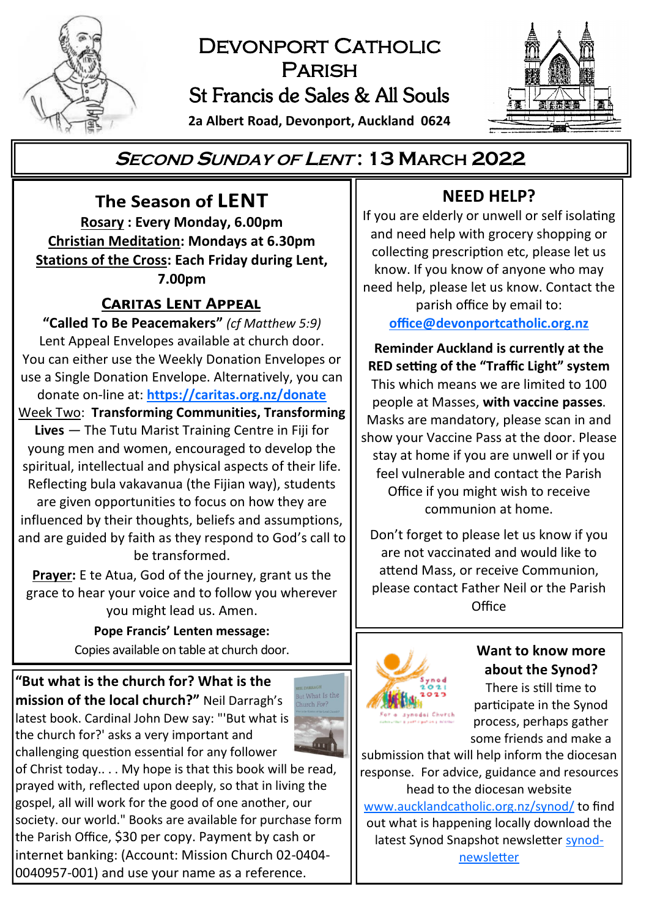

# DEVONPORT CATHOLIC Parish St Francis de Sales & All Souls

**2a Albert Road, Devonport, Auckland 0624**



# **<sup>S</sup>ECOND <sup>S</sup>UNDAY OF <sup>L</sup>ENT : 13 MARCH 2022**

The Season of LENT **Rosary : Every Monday, 6.00pm Christian Meditation: Mondays at 6.30pm Stations of the Cross: Each Friday during Lent, 7.00pm**

# **CARITAS LENT APPEAL**

**"Called To Be Peacemakers"** *(cf Matthew 5:9)* Lent Appeal Envelopes available at church door. You can either use the Weekly Donation Envelopes or use a Single Donation Envelope. Alternatively, you can donate on-line at: **<https://caritas.org.nz/donate>**

Week Two: **Transforming Communities, Transforming Lives** — The Tutu Marist Training Centre in Fiji for

young men and women, encouraged to develop the spiritual, intellectual and physical aspects of their life. Reflecting bula vakavanua (the Fijian way), students

are given opportunities to focus on how they are influenced by their thoughts, beliefs and assumptions, and are guided by faith as they respond to God's call to be transformed.

**Prayer:** E te Atua, God of the journey, grant us the grace to hear your voice and to follow you wherever you might lead us. Amen.

> **Pope Francis' Lenten message:**  Copies available on table at church door. **Want to know more**

**"But what is the church for? What is the mission of the local church?"** Neil Darragh's latest book. Cardinal John Dew say: "'But what is the church for?' asks a very important and challenging question essential for any follower



of Christ today.. . . My hope is that this book will be read, prayed with, reflected upon deeply, so that in living the gospel, all will work for the good of one another, our society. our world." Books are available for purchase form the Parish Office, \$30 per copy. Payment by cash or internet banking: (Account: Mission Church 02-0404- 0040957-001) and use your name as a reference.

# **NEED HELP?**

If you are elderly or unwell or self isolating and need help with grocery shopping or collecting prescription etc, please let us know. If you know of anyone who may need help, please let us know. Contact the parish office by email to:

**[office@devonportcatholic.org.nz](mailto:office@devonportcatholic.org.nz)**

**Reminder Auckland is currently at the RED setting of the "Traffic Light" system** This which means we are limited to 100 people at Masses, **with vaccine passes**. Masks are mandatory, please scan in and show your Vaccine Pass at the door. Please stay at home if you are unwell or if you feel vulnerable and contact the Parish Office if you might wish to receive communion at home.

Don't forget to please let us know if you are not vaccinated and would like to attend Mass, or receive Communion, please contact Father Neil or the Parish Office



# **about the Synod?**

There is still time to participate in the Synod process, perhaps gather some friends and make a

submission that will help inform the diocesan response. For advice, guidance and resources head to the diocesan website [www.aucklandcatholic.org.nz/synod/](https://www.aucklandcatholic.org.nz/synod/) to find out what is happening locally download the latest Synod Snapshot newsletter [synod](https://www.aucklandcatholic.org.nz/synod/synod-newsletter/)[newsletter](https://www.aucklandcatholic.org.nz/synod/synod-newsletter/)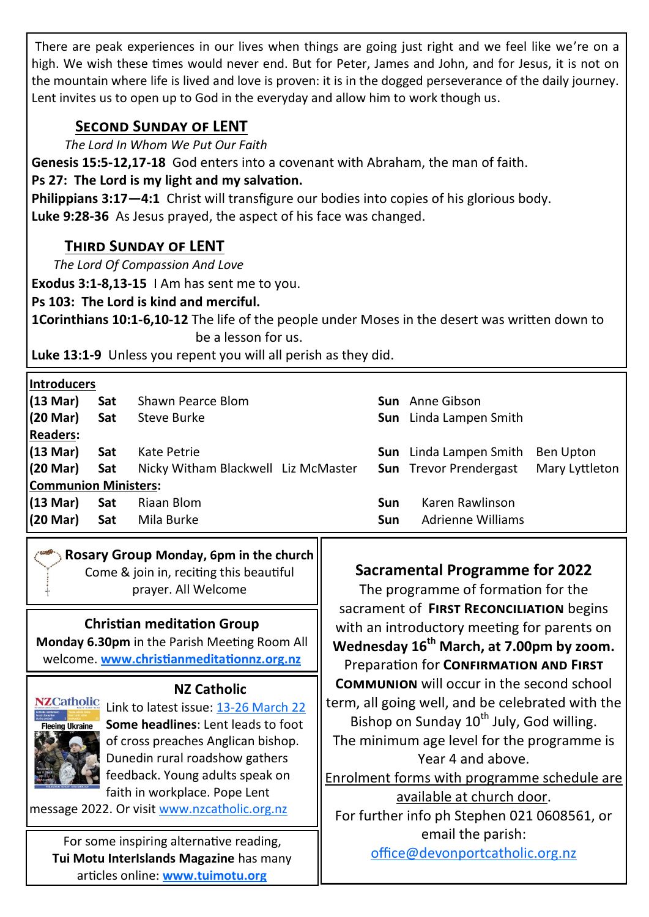There are peak experiences in our lives when things are going just right and we feel like we're on a high. We wish these times would never end. But for Peter, James and John, and for Jesus, it is not on the mountain where life is lived and love is proven: it is in the dogged perseverance of the daily journey. Lent invites us to open up to God in the everyday and allow him to work though us.

# **Second Sunday of LENT**

*The Lord In Whom We Put Our Faith*

**Genesis 15:5-12,17-18** God enters into a covenant with Abraham, the man of faith.

# **Ps 27: The Lord is my light and my salvation.**

**Philippians 3:17—4:1** Christ will transfigure our bodies into copies of his glorious body. **Luke 9:28-36** As Jesus prayed, the aspect of his face was changed.

# **Third Sunday of LENT**

*The Lord Of Compassion And Love*

**Exodus 3:1-8,13-15** I Am has sent me to you.

**Ps 103: The Lord is kind and merciful.**

**1Corinthians 10:1-6,10-12** The life of the people under Moses in the desert was written down to be a lesson for us.

**Luke 13:1-9** Unless you repent you will all perish as they did.

| <b>Introducers</b>          |     |                                     |     |                               |                |  |
|-----------------------------|-----|-------------------------------------|-----|-------------------------------|----------------|--|
| (13 Mar)                    | Sat | Shawn Pearce Blom                   |     | <b>Sun</b> Anne Gibson        |                |  |
| (20 Mar)                    | Sat | Steve Burke                         |     | <b>Sun</b> Linda Lampen Smith |                |  |
| <b>Readers:</b>             |     |                                     |     |                               |                |  |
| $(13 \text{ Mar})$          | Sat | Kate Petrie                         |     | <b>Sun</b> Linda Lampen Smith | Ben Upton      |  |
| (20 Mar)                    | Sat | Nicky Witham Blackwell Liz McMaster |     | <b>Sun</b> Trevor Prendergast | Mary Lyttleton |  |
| <b>Communion Ministers:</b> |     |                                     |     |                               |                |  |
| (13 Mar)                    | Sat | Riaan Blom                          | Sun | Karen Rawlinson               |                |  |
| (20 Mar)                    | Sat | Mila Burke                          | Sun | Adrienne Williams             |                |  |
|                             |     |                                     |     |                               |                |  |

# **Rosary Group Monday, 6pm in the church**

Come & join in, reciting this beautiful prayer. All Welcome

# **Christian meditation Group**

**Monday 6.30pm** in the Parish Meeting Room All welcome. **[www.christianmeditationnz.org.nz](http://www.christianmeditationnz.org.nz/)**

# **NZ Catholic**



NZCatholic Link to latest issue: 13-[26 March 22](https://indd.adobe.com/view/e7fba446-52c8-4585-aa31-2a70f63285eb) **Some headlines**: Lent leads to foot of cross preaches Anglican bishop. Dunedin rural roadshow gathers feedback. Young adults speak on faith in workplace. Pope Lent

message 2022. Or visit [www.nzcatholic.org.nz](https://nzcatholic.org.nz/)

For some inspiring alternative reading, **Tui Motu InterIslands Magazine** has many articles online: **[www.tuimotu.org](http://www.tuimotu.org)**

# **Sacramental Programme for 2022**

The programme of formation for the sacrament of **First Reconciliation** begins with an introductory meeting for parents on **Wednesday 16th March, at 7.00pm by zoom.** Preparation for **Confirmation and First Communion** will occur in the second school term, all going well, and be celebrated with the Bishop on Sunday  $10^{th}$  July, God willing. The minimum age level for the programme is Year 4 and above. Enrolment forms with programme schedule are available at church door. For further info ph Stephen 021 0608561, or email the parish:

[office@devonportcatholic.org.nz](mailto:office@devonportcatholic.org.nz)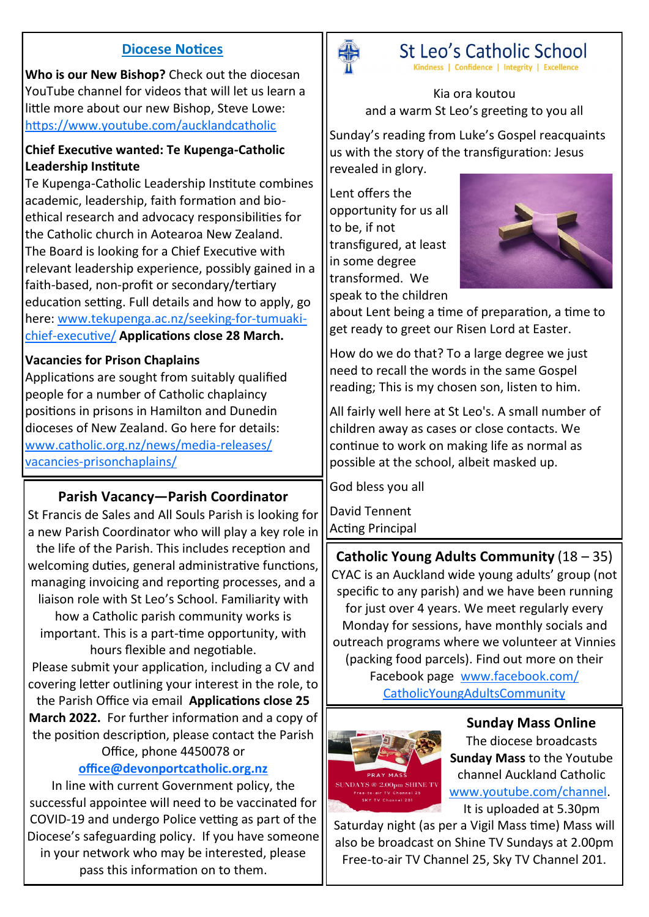### **Diocese Notices**

**Who is our New Bishop?** Check out the diocesan YouTube channel for videos that will let us learn a little more about our new Bishop, Steve Lowe: <https://www.youtube.com/aucklandcatholic>

#### **Chief Executive wanted: Te Kupenga-Catholic Leadership Institute**

Te Kupenga-Catholic Leadership Institute combines academic, leadership, faith formation and bioethical research and advocacy responsibilities for the Catholic church in Aotearoa New Zealand. The Board is looking for a Chief Executive with relevant leadership experience, possibly gained in a faith-based, non-profit or secondary/tertiary education setting. Full details and how to apply, go here: [www.tekupenga.ac.nz/seeking](https://www.tekupenga.ac.nz/uncategorized/seeking-for-tumuaki-chief-executive/)-for-tumuakichief-[executive/](https://www.tekupenga.ac.nz/uncategorized/seeking-for-tumuaki-chief-executive/) **Applications close 28 March.**

#### **Vacancies for Prison Chaplains**

Applications are sought from suitably qualified people for a number of Catholic chaplaincy positions in prisons in Hamilton and Dunedin dioceses of New Zealand. Go here for details: [www.catholic.org.nz/news/media](https://www.catholic.org.nz/news/media-releases/vacancies-prisonchaplains/)-releases/ vacancies-[prisonchaplains/](https://www.catholic.org.nz/news/media-releases/vacancies-prisonchaplains/)

# **Parish Vacancy—Parish Coordinator**

St Francis de Sales and All Souls Parish is looking for a new Parish Coordinator who will play a key role in the life of the Parish. This includes reception and welcoming duties, general administrative functions, managing invoicing and reporting processes, and a liaison role with St Leo's School. Familiarity with how a Catholic parish community works is important. This is a part-time opportunity, with hours flexible and negotiable. Please submit your application, including a CV and covering letter outlining your interest in the role, to the Parish Office via email **Applications close 25 March 2022.** For further information and a copy of the position description, please contact the Parish

#### Office, phone 4450078 or **[office@devonportcatholic.org.nz](mailto:office@devonportcatholic.org.nz)**

In line with current Government policy, the successful appointee will need to be vaccinated for COVID-19 and undergo Police vetting as part of the Diocese's safeguarding policy. If you have someone in your network who may be interested, please pass this information on to them.



St Leo's Catholic School Kindness | Confidence | Integrity | Excellence

Kia ora koutou and a warm St Leo's greeting to you all

Sunday's reading from Luke's Gospel reacquaints us with the story of the transfiguration: Jesus revealed in glory.

Lent offers the opportunity for us all to be, if not transfigured, at least in some degree transformed. We speak to the children



about Lent being a time of preparation, a time to get ready to greet our Risen Lord at Easter.

How do we do that? To a large degree we just need to recall the words in the same Gospel reading; This is my chosen son, listen to him.

All fairly well here at St Leo's. A small number of children away as cases or close contacts. We continue to work on making life as normal as possible at the school, albeit masked up.

God bless you all

David Tennent Acting Principal

**Catholic Young Adults Community** (18 – 35) CYAC is an Auckland wide young adults' group (not specific to any parish) and we have been running for just over 4 years. We meet regularly every Monday for sessions, have monthly socials and outreach programs where we volunteer at Vinnies (packing food parcels). Find out more on their Facebook page [www.facebook.com/](http://www.facebook.com/CatholicYoungAdultsCommunity) [CatholicYoungAdultsCommunity](http://www.facebook.com/CatholicYoungAdultsCommunity)



**Sunday Mass Online** The diocese broadcasts **Sunday Mass** to the Youtube channel Auckland Catholic [www.youtube.com/channel.](https://www.youtube.com/channel/UCb7o1XYfQet-mOW1mJSzfow) It is uploaded at 5.30pm

Saturday night (as per a Vigil Mass time) Mass will also be broadcast on Shine TV Sundays at 2.00pm Free-to-air TV Channel 25, Sky TV Channel 201.